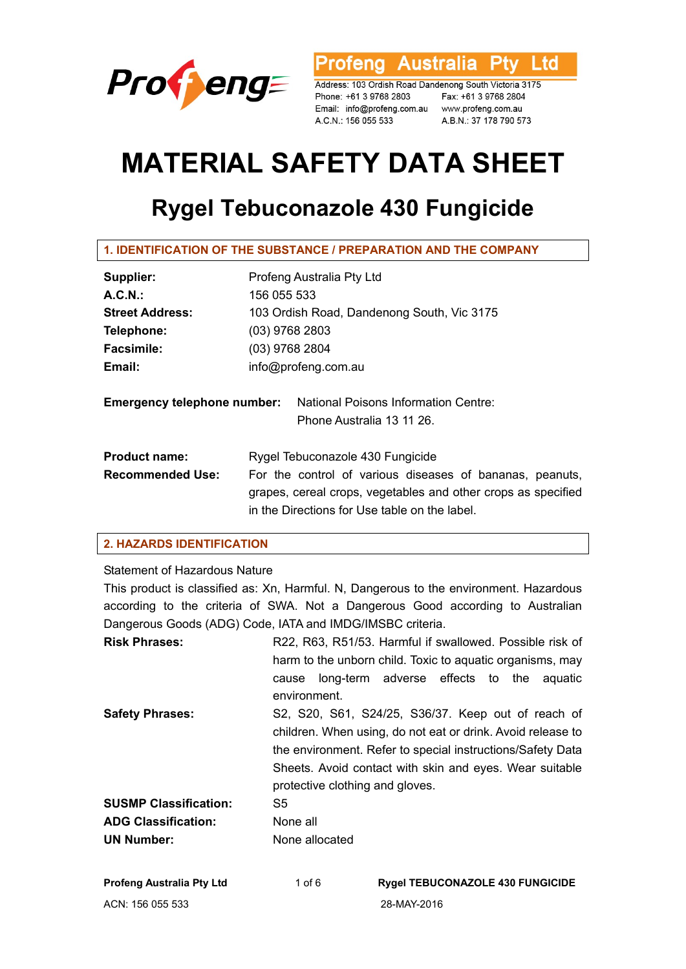

Ltd **Australia** Ptv fena

Address: 103 Ordish Road Dandenong South Victoria 3175 Phone: +61 3 9768 2803 Email: info@profeng.com.au www.profeng.com.au A.C.N.: 156 055 533

Fax: +61 3 9768 2804 A.B.N.: 37 178 790 573

# **MATERIAL SAFETY DATA SHEET**

## **Rygel Tebuconazole 430 Fungicide**

| Supplier:                          | Profeng Australia Pty Ltd                                         |
|------------------------------------|-------------------------------------------------------------------|
| A.C.N.                             | 156 055 533                                                       |
| <b>Street Address:</b>             | 103 Ordish Road, Dandenong South, Vic 3175                        |
| Telephone:                         | (03) 9768 2803                                                    |
| <b>Facsimile:</b>                  | $(03)$ 9768 2804                                                  |
| Email:                             | info@profeng.com.au                                               |
| <b>Emergency telephone number:</b> | National Poisons Information Centre:<br>Phone Australia 13 11 26. |
| <b>Product name:</b>               | Rygel Tebuconazole 430 Fungicide                                  |
| <b>Recommended Use:</b>            | For the control of various diseases of bananas, peanuts,          |
|                                    | grapes, cereal crops, vegetables and other crops as specified     |
|                                    | in the Directions for Use table on the label.                     |

#### **2. HAZARDS IDENTIFICATION**

Statement of Hazardous Nature

This product is classified as: Xn, Harmful. N, Dangerous to the environment. Hazardous according to the criteria of SWA. Not a Dangerous Good according to Australian Dangerous Goods (ADG) Code, IATA and IMDG/IMSBC criteria.

**Risk Phrases:** R22, R63, R51/53. Harmful if swallowed. Possible risk of harm to the unborn child. Toxic to aquatic organisms, may cause long-term adverse effects to the aquatic environment. **Safety Phrases:** S2, S20, S61, S24/25, S36/37. Keep out of reach of children. When using, do not eat or drink. Avoid release to the environment. Refer to special instructions/Safety Data Sheets. Avoid contact with skin and eyes. Wear suitable protective clothing and gloves.

| <b>SUSMP Classification:</b> | S5             |
|------------------------------|----------------|
| ADG Classification:          | None all       |
| UN Number:                   | None allocated |

| Profeng Australia Pty Ltd | 1 of 6 | <b>Rygel TEBUCONAZOLE 430 FUNGICIDE</b> |
|---------------------------|--------|-----------------------------------------|
| ACN: 156 055 533          |        | 28-MAY-2016                             |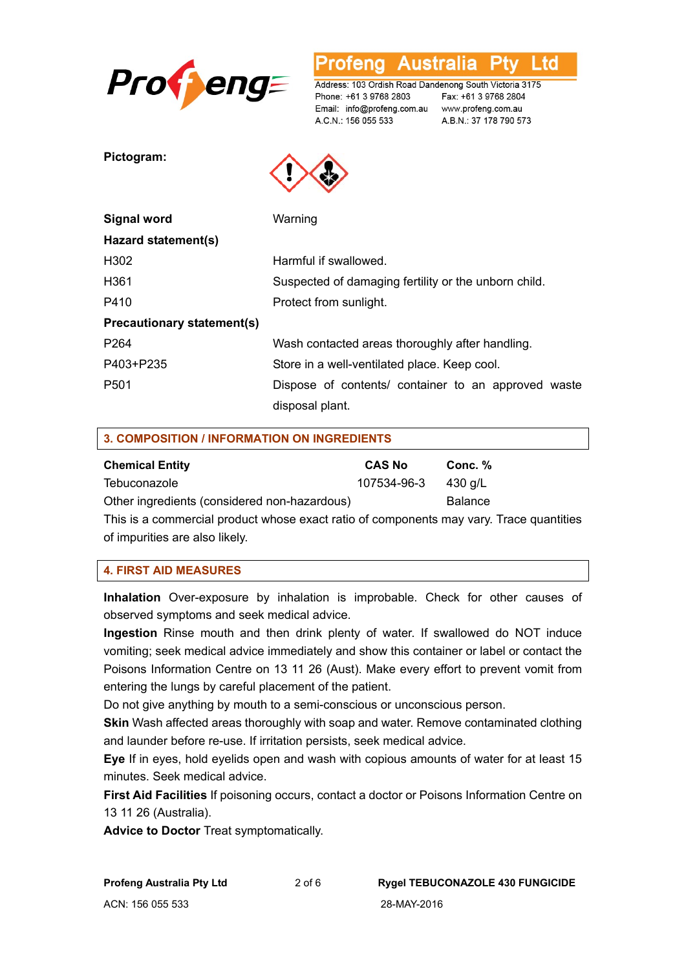

#### Austra .td ena

Address: 103 Ordish Road Dandenong South Victoria 3175 Phone: +61 3 9768 2803 Email: info@profeng.com.au www.profeng.com.au A.C.N.: 156 055 533

Fax: +61 3 9768 2804 A.B.N.: 37 178 790 573

**Pictogram:** 



| Signal word                       | Warning                                              |
|-----------------------------------|------------------------------------------------------|
| Hazard statement(s)               |                                                      |
| H <sub>302</sub>                  | Harmful if swallowed.                                |
| H361                              | Suspected of damaging fertility or the unborn child. |
| P410                              | Protect from sunlight.                               |
| <b>Precautionary statement(s)</b> |                                                      |
| P <sub>264</sub>                  | Wash contacted areas thoroughly after handling.      |
| P403+P235                         | Store in a well-ventilated place. Keep cool.         |
| P <sub>501</sub>                  | Dispose of contents/ container to an approved waste  |
|                                   | disposal plant.                                      |

#### **3. COMPOSITION / INFORMATION ON INGREDIENTS**

| <b>Chemical Entity</b>                       | <b>CAS No</b> | Conc. %        |
|----------------------------------------------|---------------|----------------|
| Tebuconazole                                 | 107534-96-3   | 430 a/L        |
| Other ingredients (considered non-hazardous) |               | <b>Balance</b> |

This is a commercial product whose exact ratio of components may vary. Trace quantities of impurities are also likely.

#### **4. FIRST AID MEASURES**

**Inhalation** Over-exposure by inhalation is improbable. Check for other causes of observed symptoms and seek medical advice.

**Ingestion** Rinse mouth and then drink plenty of water. If swallowed do NOT induce vomiting; seek medical advice immediately and show this container or label or contact the Poisons Information Centre on 13 11 26 (Aust). Make every effort to prevent vomit from entering the lungs by careful placement of the patient.

Do not give anything by mouth to a semi-conscious or unconscious person.

**Skin** Wash affected areas thoroughly with soap and water. Remove contaminated clothing and launder before re-use. If irritation persists, seek medical advice.

**Eye** If in eyes, hold eyelids open and wash with copious amounts of water for at least 15 minutes. Seek medical advice.

**First Aid Facilities** If poisoning occurs, contact a doctor or Poisons Information Centre on 13 11 26 (Australia).

**Advice to Doctor** Treat symptomatically.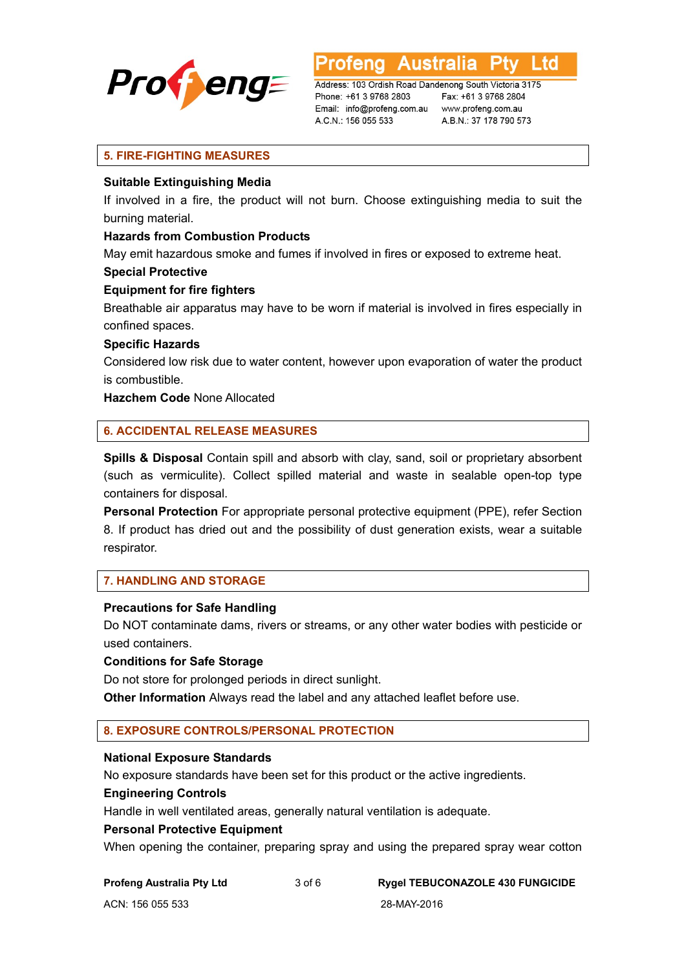

L td Austra ena

Address: 103 Ordish Road Dandenong South Victoria 3175 Phone: +61 3 9768 2803 Email: info@profeng.com.au www.profeng.com.au A.C.N.: 156 055 533

Fax: +61 3 9768 2804 A.B.N.: 37 178 790 573

#### **5. FIRE-FIGHTING MEASURES**

#### **Suitable Extinguishing Media**

If involved in a fire, the product will not burn. Choose extinguishing media to suit the burning material.

#### **Hazards from Combustion Products**

May emit hazardous smoke and fumes if involved in fires or exposed to extreme heat.

#### **Special Protective**

#### **Equipment for fire fighters**

Breathable air apparatus may have to be worn if material is involved in fires especially in confined spaces.

#### **Specific Hazards**

Considered low risk due to water content, however upon evaporation of water the product is combustible.

#### **Hazchem Code** None Allocated

#### **6. ACCIDENTAL RELEASE MEASURES**

**Spills & Disposal** Contain spill and absorb with clay, sand, soil or proprietary absorbent (such as vermiculite). Collect spilled material and waste in sealable open-top type containers for disposal.

**Personal Protection** For appropriate personal protective equipment (PPE), refer Section 8. If product has dried out and the possibility of dust generation exists, wear a suitable respirator.

#### **7. HANDLING AND STORAGE**

#### **Precautions for Safe Handling**

Do NOT contaminate dams, rivers or streams, or any other water bodies with pesticide or used containers.

#### **Conditions for Safe Storage**

Do not store for prolonged periods in direct sunlight.

**Other Information** Always read the label and any attached leaflet before use.

#### **8. EXPOSURE CONTROLS/PERSONAL PROTECTION**

#### **National Exposure Standards**

No exposure standards have been set for this product or the active ingredients.

#### **Engineering Controls**

Handle in well ventilated areas, generally natural ventilation is adequate.

#### **Personal Protective Equipment**

When opening the container, preparing spray and using the prepared spray wear cotton

**Profeng Australia Pty Ltd** 3 of 6 **Rygel TEBUCONAZOLE 430 FUNGICIDE**

ACN: 156 055 533 28-MAY-2016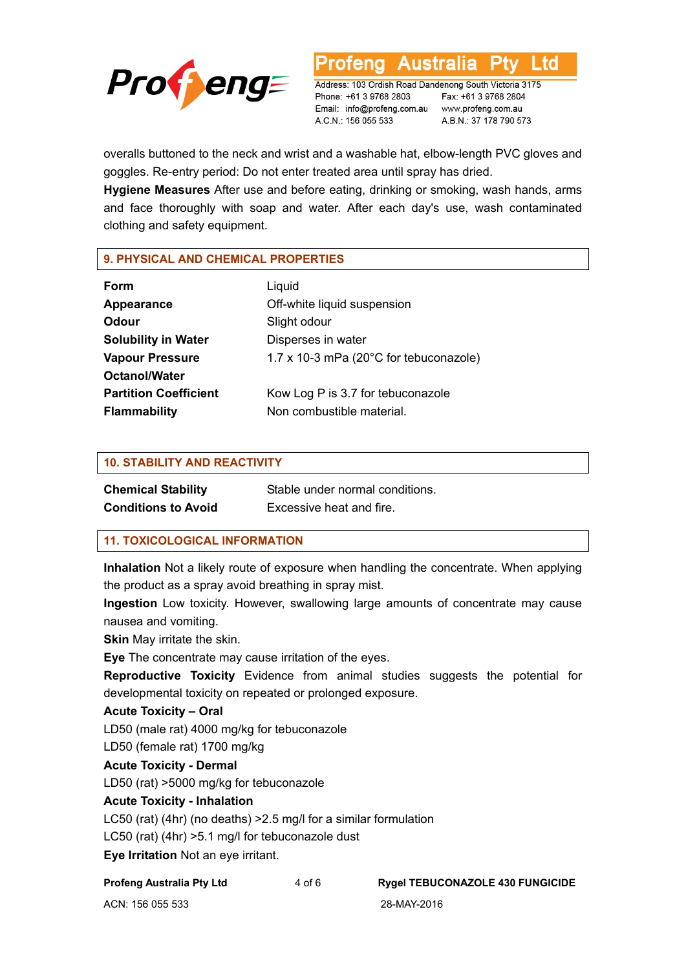

L td 'ena Australia

Address: 103 Ordish Road Dandenong South Victoria 3175 Phone: +61 3 9768 2803 Email: info@profeng.com.au www.profeng.com.au A.C.N.: 156 055 533

Fax: +61 3 9768 2804 A.B.N.: 37 178 790 573

overalls buttoned to the neck and wrist and a washable hat, elbow-length PVC gloves and goggles. Re-entry period: Do not enter treated area until spray has dried.

**Hygiene Measures** After use and before eating, drinking or smoking, wash hands, arms and face thoroughly with soap and water. After each day's use, wash contaminated clothing and safety equipment.

### **9. PHYSICAL AND CHEMICAL PROPERTIES**

| Form                         | Liquid                                            |
|------------------------------|---------------------------------------------------|
| Appearance                   | Off-white liquid suspension                       |
| Odour                        | Slight odour                                      |
| <b>Solubility in Water</b>   | Disperses in water                                |
| <b>Vapour Pressure</b>       | 1.7 x 10-3 mPa (20 $^{\circ}$ C for tebuconazole) |
| <b>Octanol/Water</b>         |                                                   |
| <b>Partition Coefficient</b> | Kow Log P is 3.7 for tebuconazole                 |
| <b>Flammability</b>          | Non combustible material.                         |

#### **10. STABILITY AND REACTIVITY**

| <b>Chemical Stability</b>  | Stable under normal conditions. |
|----------------------------|---------------------------------|
| <b>Conditions to Avoid</b> | Excessive heat and fire.        |

#### **11. TOXICOLOGICAL INFORMATION**

**Inhalation** Not a likely route of exposure when handling the concentrate. When applying the product as a spray avoid breathing in spray mist.

**Ingestion** Low toxicity. However, swallowing large amounts of concentrate may cause nausea and vomiting.

**Skin** May irritate the skin.

**Eye** The concentrate may cause irritation of the eyes.

**Reproductive Toxicity** Evidence from animal studies suggests the potential for developmental toxicity on repeated or prolonged exposure.

#### **Acute Toxicity – Oral**

LD50 (male rat) 4000 mg/kg for tebuconazole

LD50 (female rat) 1700 mg/kg

#### **Acute Toxicity - Dermal**

LD50 (rat) >5000 mg/kg for tebuconazole

#### **Acute Toxicity - Inhalation**

LC50 (rat) (4hr) (no deaths) >2.5 mg/l for a similar formulation

LC50 (rat) (4hr) >5.1 mg/l for tebuconazole dust

**Eye Irritation** Not an eye irritant.

**Profeng Australia Pty Ltd** 4 of 6 **Rygel TEBUCONAZOLE 430 FUNGICIDE**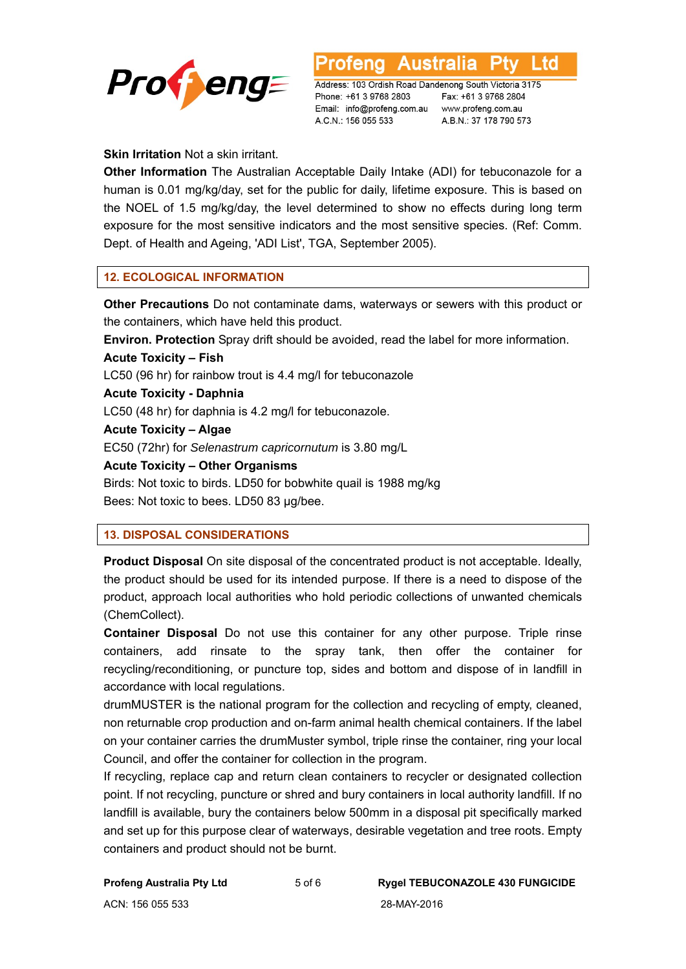

Austra L td iena

Address: 103 Ordish Road Dandenong South Victoria 3175 Phone: +61 3 9768 2803 Email: info@profeng.com.au www.profeng.com.au A.C.N.: 156 055 533

Fax: +61 3 9768 2804 A.B.N.: 37 178 790 573

#### **Skin Irritation Not a skin irritant.**

**Other Information** The Australian Acceptable Daily Intake (ADI) for tebuconazole for a human is 0.01 mg/kg/day, set for the public for daily, lifetime exposure. This is based on the NOEL of 1.5 mg/kg/day, the level determined to show no effects during long term exposure for the most sensitive indicators and the most sensitive species. (Ref: Comm. Dept. of Health and Ageing, 'ADI List', TGA, September 2005).

#### **12. ECOLOGICAL INFORMATION**

**Other Precautions** Do not contaminate dams, waterways or sewers with this product or the containers, which have held this product.

**Environ. Protection** Spray drift should be avoided, read the label for more information.

**Acute Toxicity – Fish** 

LC50 (96 hr) for rainbow trout is 4.4 mg/l for tebuconazole

**Acute Toxicity - Daphnia** 

LC50 (48 hr) for daphnia is 4.2 mg/l for tebuconazole.

**Acute Toxicity – Algae** 

EC50 (72hr) for *Selenastrum capricornutum* is 3.80 mg/L

**Acute Toxicity – Other Organisms** 

Birds: Not toxic to birds. LD50 for bobwhite quail is 1988 mg/kg Bees: Not toxic to bees. LD50 83 μg/bee.

#### **13. DISPOSAL CONSIDERATIONS**

**Product Disposal** On site disposal of the concentrated product is not acceptable. Ideally, the product should be used for its intended purpose. If there is a need to dispose of the product, approach local authorities who hold periodic collections of unwanted chemicals (ChemCollect).

**Container Disposal** Do not use this container for any other purpose. Triple rinse containers, add rinsate to the spray tank, then offer the container for recycling/reconditioning, or puncture top, sides and bottom and dispose of in landfill in accordance with local regulations.

drumMUSTER is the national program for the collection and recycling of empty, cleaned, non returnable crop production and on-farm animal health chemical containers. If the label on your container carries the drumMuster symbol, triple rinse the container, ring your local Council, and offer the container for collection in the program.

If recycling, replace cap and return clean containers to recycler or designated collection point. If not recycling, puncture or shred and bury containers in local authority landfill. If no landfill is available, bury the containers below 500mm in a disposal pit specifically marked and set up for this purpose clear of waterways, desirable vegetation and tree roots. Empty containers and product should not be burnt.